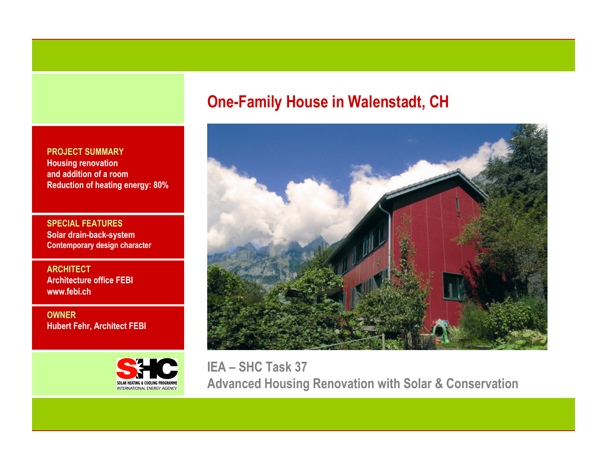PROJECT SUMMARY Housing renovation and addition of a roomReduction of heating energy: 80%

SPECIAL FEATURES Solar drain-back-system Contemporary design character

**ARCHITECT**  Architecture office FEBIwww.febi.ch

OWNERHubert Fehr, Architect FEBI



# One-Family House in Walenstadt, CH



IEA – SHC Task 37 Advanced Housing Renovation with Solar & Conservation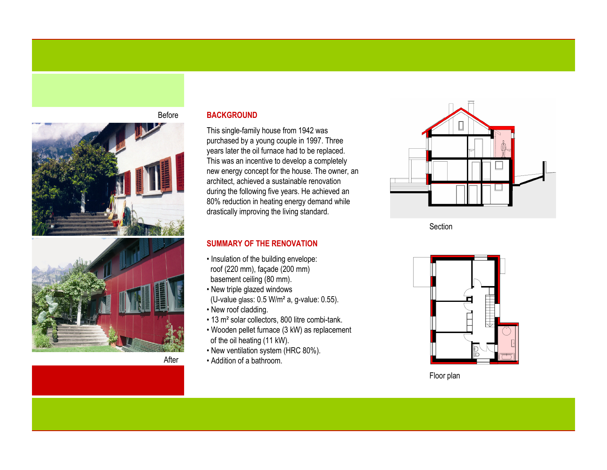

**BACKGROUND** 

Before

After

This single-family house from 1942 was purchased by a young couple in 1997. Three years later the oil furnace had to be replaced. This was an incentive to develop a completely new energy concept for the house. The owner, an architect, achieved a sustainable renovation during the following five years. He achieved an 80% reduction in heating energy demand while drastically improving the living standard.

### SUMMARY OF THE RENOVATION

- Insulation of the building envelope: roof (220 mm), façade (200 mm) basement ceiling (80 mm).
- New triple glazed windows(U-value glass: 0.5 W/m² a, g-value: 0.55).
- New roof cladding.
- 13 m² solar collectors, 800 litre combi-tank.
- Wooden pellet furnace (3 kW) as replacement of the oil heating (11 kW).
- New ventilation system (HRC 80%).
- Addition of a bathroom.



Section



Floor plan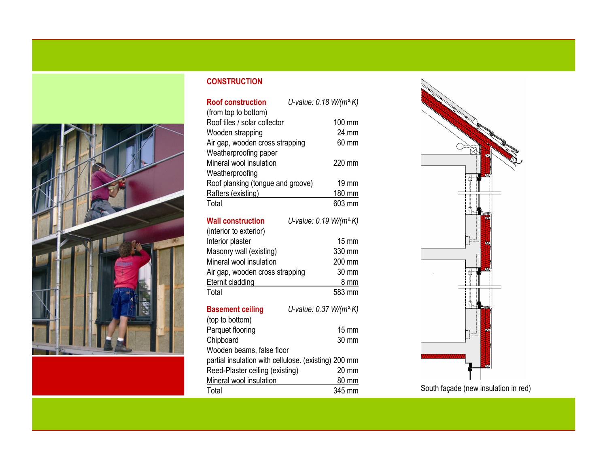

## **CONSTRUCTION**

| <b>Roof construction</b>                             | U-value: $0.18 W/(m^2 K)$           |  |
|------------------------------------------------------|-------------------------------------|--|
| (from top to bottom)                                 |                                     |  |
| Roof tiles / solar collector                         | 100 mm                              |  |
| Wooden strapping                                     | 24 mm                               |  |
| Air gap, wooden cross strapping                      | 60 mm                               |  |
| Weatherproofing paper                                |                                     |  |
| Mineral wool insulation                              | 220 mm                              |  |
| Weatherproofing                                      |                                     |  |
| Roof planking (tongue and groove)                    | 19 mm                               |  |
| Rafters (existing)                                   | 180 mm                              |  |
| Total                                                | 603 mm                              |  |
| <b>Wall construction</b>                             | U-value: 0.19 W/(m <sup>2</sup> ·K) |  |
| (interior to exterior)                               |                                     |  |
| Interior plaster                                     | $15 \text{ mm}$                     |  |
| Masonry wall (existing)                              | 330 mm                              |  |
| Mineral wool insulation                              | 200 mm                              |  |
| Air gap, wooden cross strapping                      | 30 mm                               |  |
| Eternit cladding                                     | 8 mm                                |  |
| Total                                                | 583 mm                              |  |
| <b>Basement ceiling</b>                              | U-value: 0.37 W/(m <sup>2</sup> ·K) |  |
| (top to bottom)                                      |                                     |  |
| Parquet flooring                                     | $15 \text{ mm}$                     |  |
| Chipboard                                            | 30 mm                               |  |
| Wooden beams, false floor                            |                                     |  |
| partial insulation with cellulose. (existing) 200 mm |                                     |  |
| Reed-Plaster ceiling (existing)<br>20 mm             |                                     |  |
| Mineral wool insulation                              | 80 mm                               |  |
|                                                      |                                     |  |



South façade (new insulation in red)